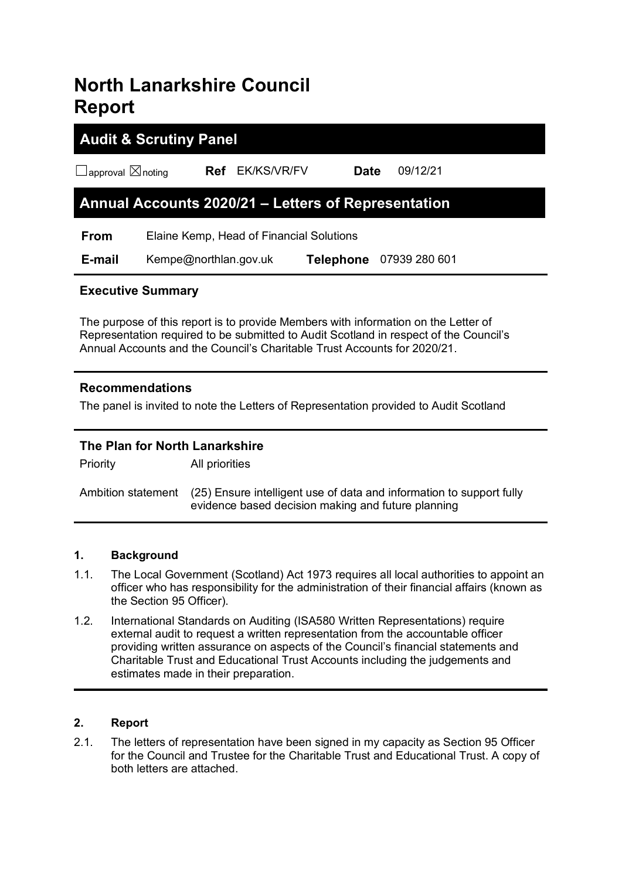# **North Lanarkshire Council Report**

# **Audit & Scrutiny Panel** ☐approval ☒noting **Ref** EK/KS/VR/FV **Date** 09/12/21 **Annual Accounts 2020/21 – Letters of Representation From** Elaine Kemp, Head of Financial Solutions  **E-mail** Kempe@northlan.gov.uk **Telephone** 07939 280 601

### **Executive Summary**

The purpose of this report is to provide Members with information on the Letter of Representation required to be submitted to Audit Scotland in respect of the Council's Annual Accounts and the Council's Charitable Trust Accounts for 2020/21.

#### **Recommendations**

The panel is invited to note the Letters of Representation provided to Audit Scotland

## **The Plan for North Lanarkshire**

Priority All priorities

Ambition statement (25) Ensure intelligent use of data and information to support fully evidence based decision making and future planning

#### **1. Background**

- 1.1. The Local Government (Scotland) Act 1973 requires all local authorities to appoint an officer who has responsibility for the administration of their financial affairs (known as the Section 95 Officer).
- 1.2. International Standards on Auditing (ISA580 Written Representations) require external audit to request a written representation from the accountable officer providing written assurance on aspects of the Council's financial statements and Charitable Trust and Educational Trust Accounts including the judgements and estimates made in their preparation.

#### **2. Report**

2.1. The letters of representation have been signed in my capacity as Section 95 Officer for the Council and Trustee for the Charitable Trust and Educational Trust. A copy of both letters are attached.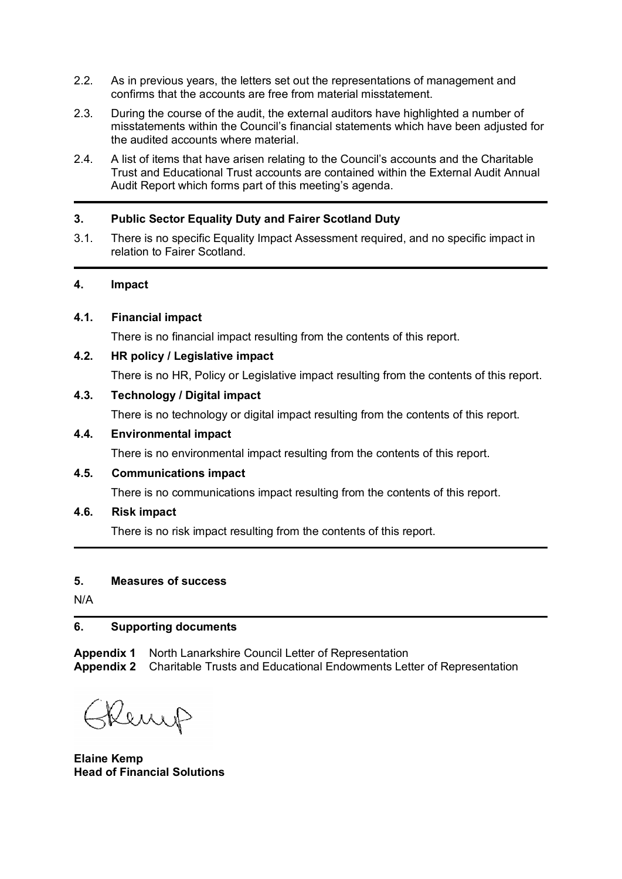- 2.2. As in previous years, the letters set out the representations of management and confirms that the accounts are free from material misstatement.
- 2.3. During the course of the audit, the external auditors have highlighted a number of misstatements within the Council's financial statements which have been adjusted for the audited accounts where material.
- 2.4. A list of items that have arisen relating to the Council's accounts and the Charitable Trust and Educational Trust accounts are contained within the External Audit Annual Audit Report which forms part of this meeting's agenda.

#### **3. Public Sector Equality Duty and Fairer Scotland Duty**

3.1. There is no specific Equality Impact Assessment required, and no specific impact in relation to Fairer Scotland.

#### **4. Impact**

#### **4.1. Financial impact**

There is no financial impact resulting from the contents of this report.

#### **4.2. HR policy / Legislative impact**

There is no HR, Policy or Legislative impact resulting from the contents of this report.

#### **4.3. Technology / Digital impact**

There is no technology or digital impact resulting from the contents of this report.

#### **4.4. Environmental impact**

There is no environmental impact resulting from the contents of this report.

#### **4.5. Communications impact**

There is no communications impact resulting from the contents of this report.

#### **4.6. Risk impact**

There is no risk impact resulting from the contents of this report.

#### **5. Measures of success**

N/A

#### **6. Supporting documents**

**Appendix 1** North Lanarkshire Council Letter of Representation **Appendix 2** Charitable Trusts and Educational Endowments Letter of Representation

Kenys

**Elaine Kemp Head of Financial Solutions**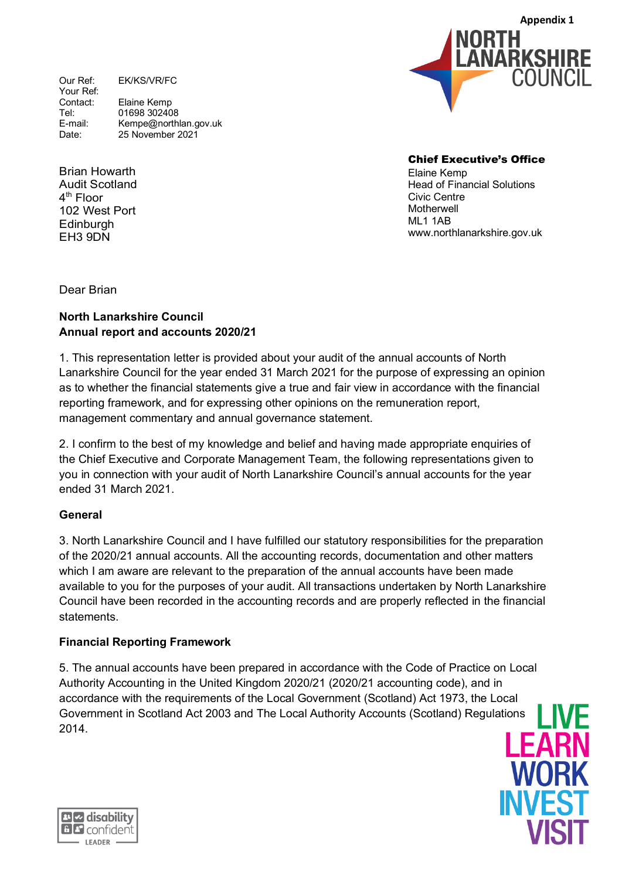Our Ref: EK/KS/VR/FC Your Ref:<br>Contact: Elaine Kemp Tel: 01698 302408<br>
F-mail: Kempe@north E-mail: Kempe@northlan.gov.uk<br>Date: 25 November 2021 25 November 2021

Brian Howarth Audit Scotland 4th Floor 102 West Port **Edinburgh** EH3 9DN

Chief Executive's Office Elaine Kemp Head of Financial Solutions Civic Centre **Motherwell** ML1 1AB www.northlanarkshire.gov.uk

IORTH

**Appendix 1**

COLINCIL

LANARKSHIRE

Dear Brian

#### **North Lanarkshire Council Annual report and accounts 2020/21**

1. This representation letter is provided about your audit of the annual accounts of North Lanarkshire Council for the year ended 31 March 2021 for the purpose of expressing an opinion as to whether the financial statements give a true and fair view in accordance with the financial reporting framework, and for expressing other opinions on the remuneration report, management commentary and annual governance statement.

2. I confirm to the best of my knowledge and belief and having made appropriate enquiries of the Chief Executive and Corporate Management Team, the following representations given to you in connection with your audit of North Lanarkshire Council's annual accounts for the year ended 31 March 2021.

#### **General**

3. North Lanarkshire Council and I have fulfilled our statutory responsibilities for the preparation of the 2020/21 annual accounts. All the accounting records, documentation and other matters which I am aware are relevant to the preparation of the annual accounts have been made available to you for the purposes of your audit. All transactions undertaken by North Lanarkshire Council have been recorded in the accounting records and are properly reflected in the financial statements.

#### **Financial Reporting Framework**

5. The annual accounts have been prepared in accordance with the Code of Practice on Local Authority Accounting in the United Kingdom 2020/21 (2020/21 accounting code), and in accordance with the requirements of the Local Government (Scotland) Act 1973, the Local Government in Scotland Act 2003 and The Local Authority Accounts (Scotland) Regulations 2014.



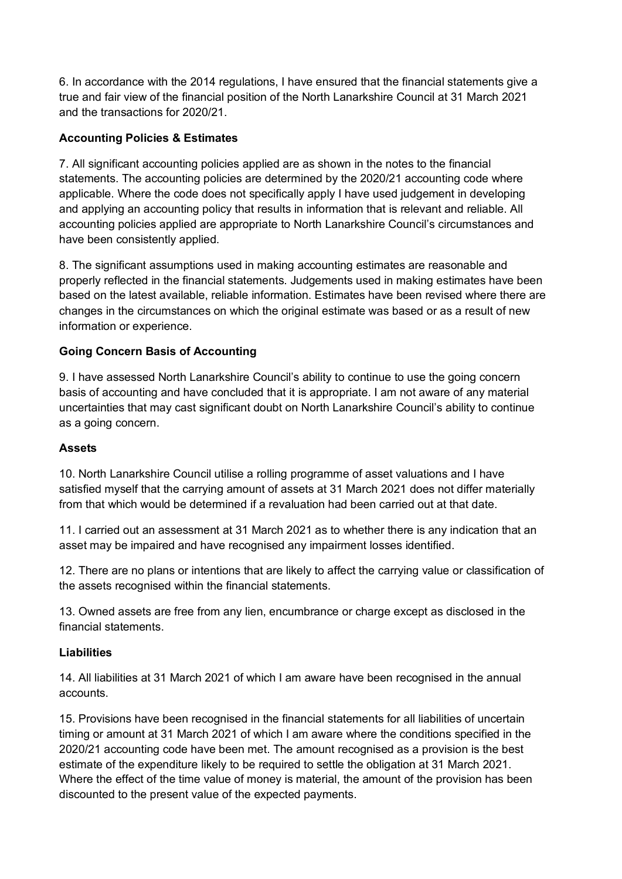6. In accordance with the 2014 regulations, I have ensured that the financial statements give a true and fair view of the financial position of the North Lanarkshire Council at 31 March 2021 and the transactions for 2020/21.

#### **Accounting Policies & Estimates**

7. All significant accounting policies applied are as shown in the notes to the financial statements. The accounting policies are determined by the 2020/21 accounting code where applicable. Where the code does not specifically apply I have used judgement in developing and applying an accounting policy that results in information that is relevant and reliable. All accounting policies applied are appropriate to North Lanarkshire Council's circumstances and have been consistently applied.

8. The significant assumptions used in making accounting estimates are reasonable and properly reflected in the financial statements. Judgements used in making estimates have been based on the latest available, reliable information. Estimates have been revised where there are changes in the circumstances on which the original estimate was based or as a result of new information or experience.

#### **Going Concern Basis of Accounting**

9. I have assessed North Lanarkshire Council's ability to continue to use the going concern basis of accounting and have concluded that it is appropriate. I am not aware of any material uncertainties that may cast significant doubt on North Lanarkshire Council's ability to continue as a going concern.

#### **Assets**

10. North Lanarkshire Council utilise a rolling programme of asset valuations and I have satisfied myself that the carrying amount of assets at 31 March 2021 does not differ materially from that which would be determined if a revaluation had been carried out at that date.

11. I carried out an assessment at 31 March 2021 as to whether there is any indication that an asset may be impaired and have recognised any impairment losses identified.

12. There are no plans or intentions that are likely to affect the carrying value or classification of the assets recognised within the financial statements.

13. Owned assets are free from any lien, encumbrance or charge except as disclosed in the financial statements.

#### **Liabilities**

14. All liabilities at 31 March 2021 of which I am aware have been recognised in the annual accounts.

15. Provisions have been recognised in the financial statements for all liabilities of uncertain timing or amount at 31 March 2021 of which I am aware where the conditions specified in the 2020/21 accounting code have been met. The amount recognised as a provision is the best estimate of the expenditure likely to be required to settle the obligation at 31 March 2021. Where the effect of the time value of money is material, the amount of the provision has been discounted to the present value of the expected payments.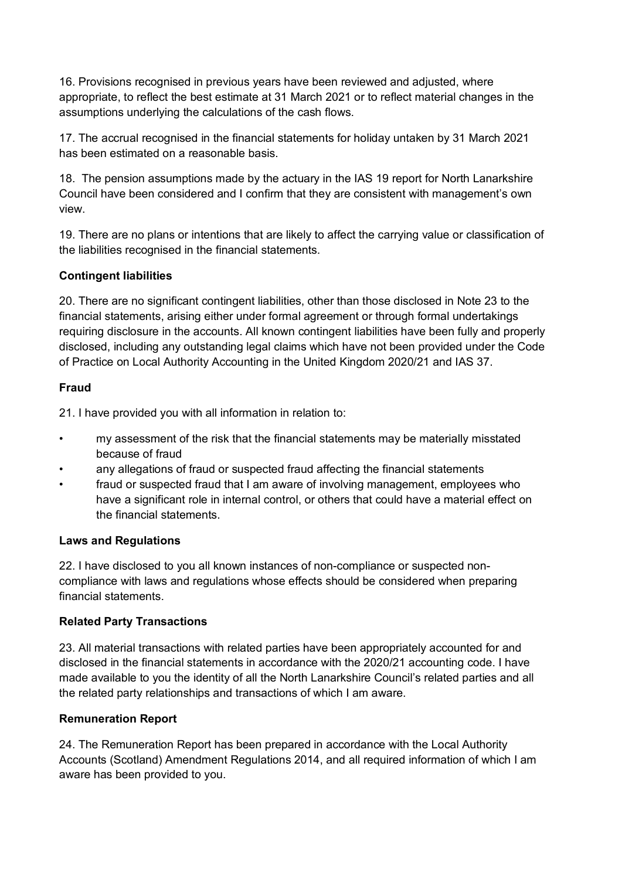16. Provisions recognised in previous years have been reviewed and adjusted, where appropriate, to reflect the best estimate at 31 March 2021 or to reflect material changes in the assumptions underlying the calculations of the cash flows.

17. The accrual recognised in the financial statements for holiday untaken by 31 March 2021 has been estimated on a reasonable basis.

18. The pension assumptions made by the actuary in the IAS 19 report for North Lanarkshire Council have been considered and I confirm that they are consistent with management's own view.

19. There are no plans or intentions that are likely to affect the carrying value or classification of the liabilities recognised in the financial statements.

#### **Contingent liabilities**

20. There are no significant contingent liabilities, other than those disclosed in Note 23 to the financial statements, arising either under formal agreement or through formal undertakings requiring disclosure in the accounts. All known contingent liabilities have been fully and properly disclosed, including any outstanding legal claims which have not been provided under the Code of Practice on Local Authority Accounting in the United Kingdom 2020/21 and IAS 37.

#### **Fraud**

21. I have provided you with all information in relation to:

- my assessment of the risk that the financial statements may be materially misstated because of fraud
- any allegations of fraud or suspected fraud affecting the financial statements
- fraud or suspected fraud that I am aware of involving management, employees who have a significant role in internal control, or others that could have a material effect on the financial statements.

#### **Laws and Regulations**

22. I have disclosed to you all known instances of non-compliance or suspected noncompliance with laws and regulations whose effects should be considered when preparing financial statements.

#### **Related Party Transactions**

23. All material transactions with related parties have been appropriately accounted for and disclosed in the financial statements in accordance with the 2020/21 accounting code. I have made available to you the identity of all the North Lanarkshire Council's related parties and all the related party relationships and transactions of which I am aware.

#### **Remuneration Report**

24. The Remuneration Report has been prepared in accordance with the Local Authority Accounts (Scotland) Amendment Regulations 2014, and all required information of which I am aware has been provided to you.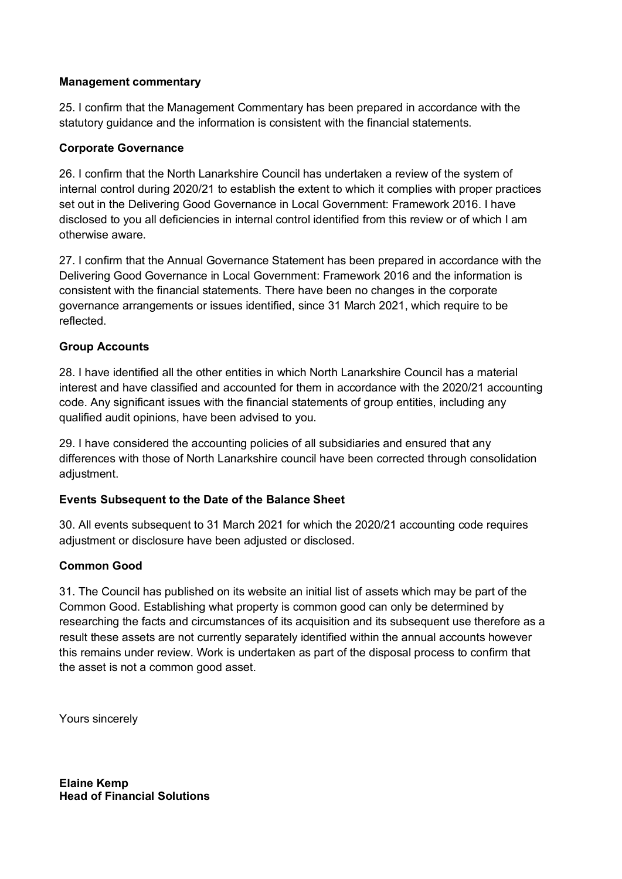#### **Management commentary**

25. I confirm that the Management Commentary has been prepared in accordance with the statutory guidance and the information is consistent with the financial statements.

#### **Corporate Governance**

26. I confirm that the North Lanarkshire Council has undertaken a review of the system of internal control during 2020/21 to establish the extent to which it complies with proper practices set out in the Delivering Good Governance in Local Government: Framework 2016. I have disclosed to you all deficiencies in internal control identified from this review or of which I am otherwise aware.

27. I confirm that the Annual Governance Statement has been prepared in accordance with the Delivering Good Governance in Local Government: Framework 2016 and the information is consistent with the financial statements. There have been no changes in the corporate governance arrangements or issues identified, since 31 March 2021, which require to be reflected.

#### **Group Accounts**

28. I have identified all the other entities in which North Lanarkshire Council has a material interest and have classified and accounted for them in accordance with the 2020/21 accounting code. Any significant issues with the financial statements of group entities, including any qualified audit opinions, have been advised to you.

29. I have considered the accounting policies of all subsidiaries and ensured that any differences with those of North Lanarkshire council have been corrected through consolidation adiustment.

#### **Events Subsequent to the Date of the Balance Sheet**

30. All events subsequent to 31 March 2021 for which the 2020/21 accounting code requires adjustment or disclosure have been adjusted or disclosed.

#### **Common Good**

31. The Council has published on its website an initial list of assets which may be part of the Common Good. Establishing what property is common good can only be determined by researching the facts and circumstances of its acquisition and its subsequent use therefore as a result these assets are not currently separately identified within the annual accounts however this remains under review. Work is undertaken as part of the disposal process to confirm that the asset is not a common good asset.

Yours sincerely

**Elaine Kemp Head of Financial Solutions**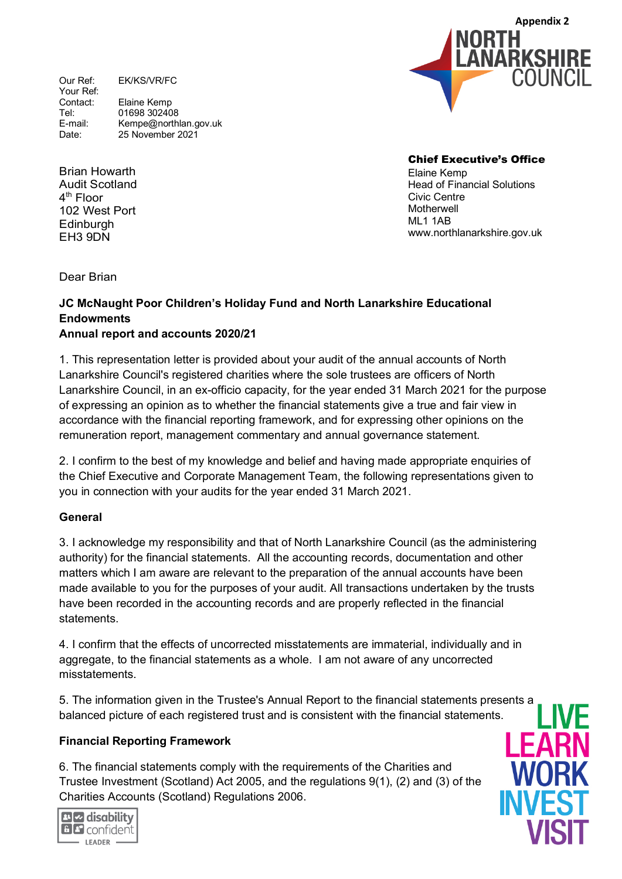Our Ref: EK/KS/VR/FC Your Ref:<br>Contact: Elaine Kemp Tel: 01698 302408<br>
F-mail: Kempe@north E-mail: Kempe@northlan.gov.uk<br>Date: 25 November 2021 25 November 2021



Brian Howarth Audit Scotland 4th Floor 102 West Port **Edinburgh** EH3 9DN

Chief Executive's Office Elaine Kemp Head of Financial Solutions Civic Centre **Motherwell** ML1 1AB www.northlanarkshire.gov.uk

Dear Brian

#### **JC McNaught Poor Children's Holiday Fund and North Lanarkshire Educational Endowments**

#### **Annual report and accounts 2020/21**

1. This representation letter is provided about your audit of the annual accounts of North Lanarkshire Council's registered charities where the sole trustees are officers of North Lanarkshire Council, in an ex-officio capacity, for the year ended 31 March 2021 for the purpose of expressing an opinion as to whether the financial statements give a true and fair view in accordance with the financial reporting framework, and for expressing other opinions on the remuneration report, management commentary and annual governance statement.

2. I confirm to the best of my knowledge and belief and having made appropriate enquiries of the Chief Executive and Corporate Management Team, the following representations given to you in connection with your audits for the year ended 31 March 2021.

#### **General**

3. I acknowledge my responsibility and that of North Lanarkshire Council (as the administering authority) for the financial statements. All the accounting records, documentation and other matters which I am aware are relevant to the preparation of the annual accounts have been made available to you for the purposes of your audit. All transactions undertaken by the trusts have been recorded in the accounting records and are properly reflected in the financial statements.

4. I confirm that the effects of uncorrected misstatements are immaterial, individually and in aggregate, to the financial statements as a whole. I am not aware of any uncorrected misstatements.

5. The information given in the Trustee's Annual Report to the financial statements presents a balanced picture of each registered trust and is consistent with the financial statements.

#### **Financial Reporting Framework**

**BIZ** disability **BP** confident  $-$  LEADER  $\cdot$ 

6. The financial statements comply with the requirements of the Charities and Trustee Investment (Scotland) Act 2005, and the regulations 9(1), (2) and (3) of the Charities Accounts (Scotland) Regulations 2006.